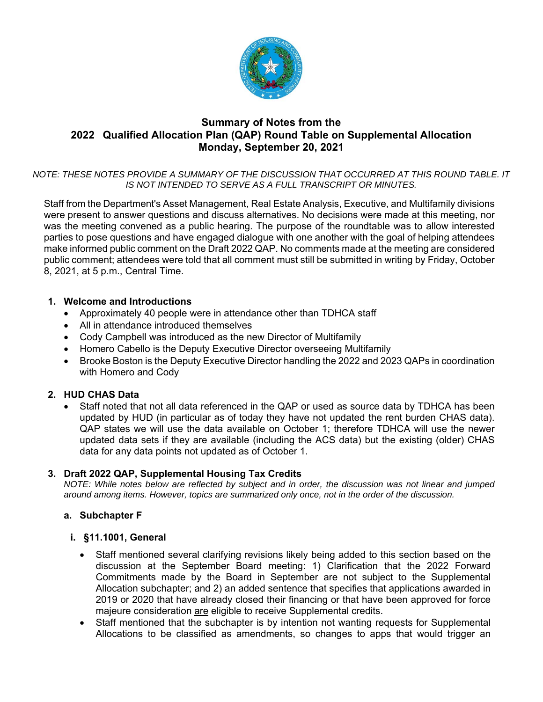

## **Summary of Notes from the 2022 Qualified Allocation Plan (QAP) Round Table on Supplemental Allocation Monday, September 20, 2021**

*NOTE: THESE NOTES PROVIDE A SUMMARY OF THE DISCUSSION THAT OCCURRED AT THIS ROUND TABLE. IT IS NOT INTENDED TO SERVE AS A FULL TRANSCRIPT OR MINUTES.* 

Staff from the Department's Asset Management, Real Estate Analysis, Executive, and Multifamily divisions were present to answer questions and discuss alternatives. No decisions were made at this meeting, nor was the meeting convened as a public hearing. The purpose of the roundtable was to allow interested parties to pose questions and have engaged dialogue with one another with the goal of helping attendees make informed public comment on the Draft 2022 QAP. No comments made at the meeting are considered public comment; attendees were told that all comment must still be submitted in writing by Friday, October 8, 2021, at 5 p.m., Central Time.

### **1. Welcome and Introductions**

- Approximately 40 people were in attendance other than TDHCA staff
- All in attendance introduced themselves
- Cody Campbell was introduced as the new Director of Multifamily
- Homero Cabello is the Deputy Executive Director overseeing Multifamily
- Brooke Boston is the Deputy Executive Director handling the 2022 and 2023 QAPs in coordination with Homero and Cody

### **2. HUD CHAS Data**

 Staff noted that not all data referenced in the QAP or used as source data by TDHCA has been updated by HUD (in particular as of today they have not updated the rent burden CHAS data). QAP states we will use the data available on October 1; therefore TDHCA will use the newer updated data sets if they are available (including the ACS data) but the existing (older) CHAS data for any data points not updated as of October 1.

### **3. Draft 2022 QAP, Supplemental Housing Tax Credits**

*NOTE: While notes below are reflected by subject and in order, the discussion was not linear and jumped around among items. However, topics are summarized only once, not in the order of the discussion.* 

### **a. Subchapter F**

### **i. §11.1001, General**

- Staff mentioned several clarifying revisions likely being added to this section based on the discussion at the September Board meeting: 1) Clarification that the 2022 Forward Commitments made by the Board in September are not subject to the Supplemental Allocation subchapter; and 2) an added sentence that specifies that applications awarded in 2019 or 2020 that have already closed their financing or that have been approved for force majeure consideration are eligible to receive Supplemental credits.
- Staff mentioned that the subchapter is by intention not wanting requests for Supplemental Allocations to be classified as amendments, so changes to apps that would trigger an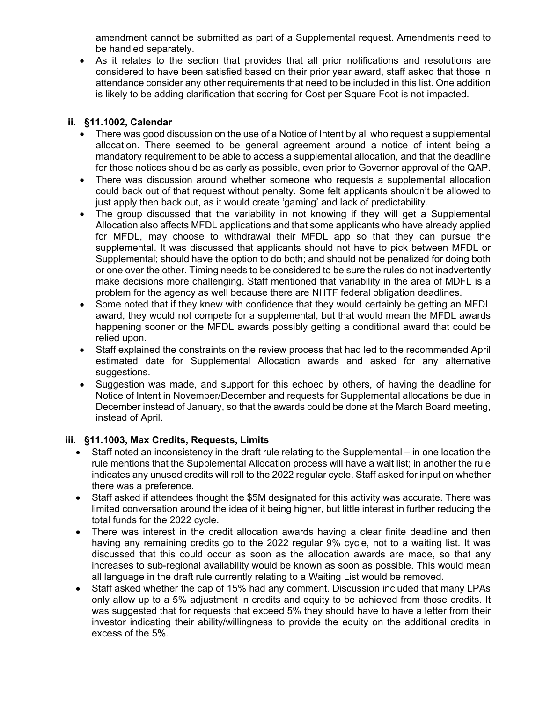amendment cannot be submitted as part of a Supplemental request. Amendments need to be handled separately.

 As it relates to the section that provides that all prior notifications and resolutions are considered to have been satisfied based on their prior year award, staff asked that those in attendance consider any other requirements that need to be included in this list. One addition is likely to be adding clarification that scoring for Cost per Square Foot is not impacted.

## **ii. §11.1002, Calendar**

- There was good discussion on the use of a Notice of Intent by all who request a supplemental allocation. There seemed to be general agreement around a notice of intent being a mandatory requirement to be able to access a supplemental allocation, and that the deadline for those notices should be as early as possible, even prior to Governor approval of the QAP.
- There was discussion around whether someone who requests a supplemental allocation could back out of that request without penalty. Some felt applicants shouldn't be allowed to just apply then back out, as it would create 'gaming' and lack of predictability.
- The group discussed that the variability in not knowing if they will get a Supplemental Allocation also affects MFDL applications and that some applicants who have already applied for MFDL, may choose to withdrawal their MFDL app so that they can pursue the supplemental. It was discussed that applicants should not have to pick between MFDL or Supplemental; should have the option to do both; and should not be penalized for doing both or one over the other. Timing needs to be considered to be sure the rules do not inadvertently make decisions more challenging. Staff mentioned that variability in the area of MDFL is a problem for the agency as well because there are NHTF federal obligation deadlines.
- Some noted that if they knew with confidence that they would certainly be getting an MFDL award, they would not compete for a supplemental, but that would mean the MFDL awards happening sooner or the MFDL awards possibly getting a conditional award that could be relied upon.
- Staff explained the constraints on the review process that had led to the recommended April estimated date for Supplemental Allocation awards and asked for any alternative suggestions.
- Suggestion was made, and support for this echoed by others, of having the deadline for Notice of Intent in November/December and requests for Supplemental allocations be due in December instead of January, so that the awards could be done at the March Board meeting, instead of April.

## **iii. §11.1003, Max Credits, Requests, Limits**

- Staff noted an inconsistency in the draft rule relating to the Supplemental in one location the rule mentions that the Supplemental Allocation process will have a wait list; in another the rule indicates any unused credits will roll to the 2022 regular cycle. Staff asked for input on whether there was a preference.
- Staff asked if attendees thought the \$5M designated for this activity was accurate. There was limited conversation around the idea of it being higher, but little interest in further reducing the total funds for the 2022 cycle.
- There was interest in the credit allocation awards having a clear finite deadline and then having any remaining credits go to the 2022 regular 9% cycle, not to a waiting list. It was discussed that this could occur as soon as the allocation awards are made, so that any increases to sub-regional availability would be known as soon as possible. This would mean all language in the draft rule currently relating to a Waiting List would be removed.
- Staff asked whether the cap of 15% had any comment. Discussion included that many LPAs only allow up to a 5% adjustment in credits and equity to be achieved from those credits. It was suggested that for requests that exceed 5% they should have to have a letter from their investor indicating their ability/willingness to provide the equity on the additional credits in excess of the 5%.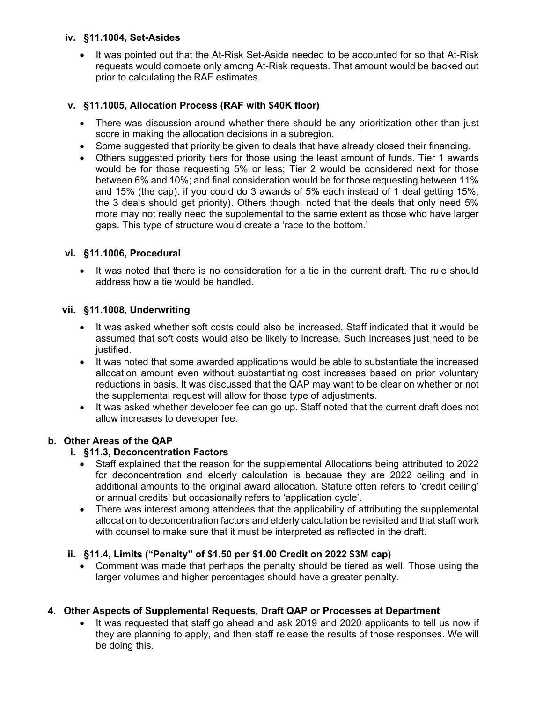### **iv. §11.1004, Set-Asides**

• It was pointed out that the At-Risk Set-Aside needed to be accounted for so that At-Risk requests would compete only among At-Risk requests. That amount would be backed out prior to calculating the RAF estimates.

## **v. §11.1005, Allocation Process (RAF with \$40K floor)**

- There was discussion around whether there should be any prioritization other than just score in making the allocation decisions in a subregion.
- Some suggested that priority be given to deals that have already closed their financing.
- Others suggested priority tiers for those using the least amount of funds. Tier 1 awards would be for those requesting 5% or less; Tier 2 would be considered next for those between 6% and 10%; and final consideration would be for those requesting between 11% and 15% (the cap). if you could do 3 awards of 5% each instead of 1 deal getting 15%, the 3 deals should get priority). Others though, noted that the deals that only need 5% more may not really need the supplemental to the same extent as those who have larger gaps. This type of structure would create a 'race to the bottom.'

## **vi. §11.1006, Procedural**

• It was noted that there is no consideration for a tie in the current draft. The rule should address how a tie would be handled.

## **vii. §11.1008, Underwriting**

- It was asked whether soft costs could also be increased. Staff indicated that it would be assumed that soft costs would also be likely to increase. Such increases just need to be justified.
- It was noted that some awarded applications would be able to substantiate the increased allocation amount even without substantiating cost increases based on prior voluntary reductions in basis. It was discussed that the QAP may want to be clear on whether or not the supplemental request will allow for those type of adjustments.
- It was asked whether developer fee can go up. Staff noted that the current draft does not allow increases to developer fee.

# **b. Other Areas of the QAP**

## **i. §11.3, Deconcentration Factors**

- Staff explained that the reason for the supplemental Allocations being attributed to 2022 for deconcentration and elderly calculation is because they are 2022 ceiling and in additional amounts to the original award allocation. Statute often refers to 'credit ceiling' or annual credits' but occasionally refers to 'application cycle'.
- There was interest among attendees that the applicability of attributing the supplemental allocation to deconcentration factors and elderly calculation be revisited and that staff work with counsel to make sure that it must be interpreted as reflected in the draft.

## **ii. §11.4, Limits ("Penalty" of \$1.50 per \$1.00 Credit on 2022 \$3M cap)**

 Comment was made that perhaps the penalty should be tiered as well. Those using the larger volumes and higher percentages should have a greater penalty.

# **4. Other Aspects of Supplemental Requests, Draft QAP or Processes at Department**

 It was requested that staff go ahead and ask 2019 and 2020 applicants to tell us now if they are planning to apply, and then staff release the results of those responses. We will be doing this.